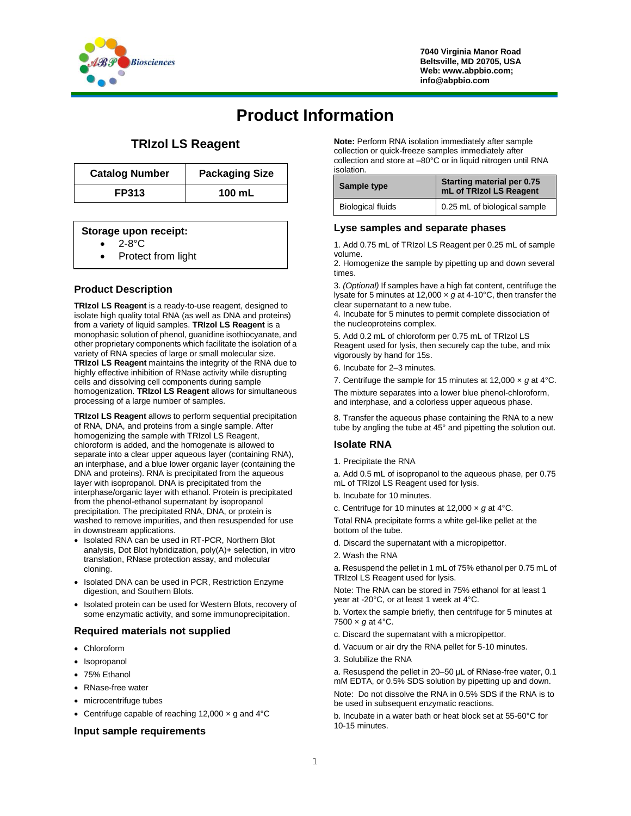

**7040 Virginia Manor Road Beltsville, MD 20705, USA Web: www.abpbio.com; info@abpbio.com**

# **Product Information**

# **TRIzol LS Reagent**

| <b>Catalog Number</b> | <b>Packaging Size</b> |
|-----------------------|-----------------------|
| <b>FP313</b>          | 100 mL                |

## **Storage upon receipt:**

- 2-8°C
- Protect from light

# **Product Description**

**TRIzol LS Reagent** is a ready-to-use reagent, designed to isolate high quality total RNA (as well as DNA and proteins) from a variety of liquid samples. **TRIzol LS Reagent** is a monophasic solution of phenol, guanidine isothiocyanate, and other proprietary components which facilitate the isolation of a variety of RNA species of large or small molecular size. **TRIzol LS Reagent** maintains the integrity of the RNA due to highly effective inhibition of RNase activity while disrupting cells and dissolving cell components during sample homogenization. **TRIzol LS Reagent** allows for simultaneous processing of a large number of samples.

**TRIzol LS Reagent** allows to perform sequential precipitation of RNA, DNA, and proteins from a single sample. After homogenizing the sample with TRIzol LS Reagent, chloroform is added, and the homogenate is allowed to separate into a clear upper aqueous layer (containing RNA), an interphase, and a blue lower organic layer (containing the DNA and proteins). RNA is precipitated from the aqueous layer with isopropanol. DNA is precipitated from the interphase/organic layer with ethanol. Protein is precipitated from the phenol-ethanol supernatant by isopropanol precipitation. The precipitated RNA, DNA, or protein is washed to remove impurities, and then resuspended for use in downstream applications.

- Isolated RNA can be used in RT-PCR, Northern Blot analysis, Dot Blot hybridization, poly(A)+ selection, in vitro translation, RNase protection assay, and molecular cloning.
- Isolated DNA can be used in PCR, Restriction Enzyme digestion, and Southern Blots.
- Isolated protein can be used for Western Blots, recovery of some enzymatic activity, and some immunoprecipitation.

## **Required materials not supplied**

- Chloroform
- Isopropanol
- 75% Ethanol
- RNase-free water
- microcentrifuge tubes
- Centrifuge capable of reaching 12,000 x g and 4°C

#### **Input sample requirements**

**Note:** Perform RNA isolation immediately after sample collection or quick-freeze samples immediately after collection and store at –80°C or in liquid nitrogen until RNA isolation.

| Sample type              | Starting material per 0.75<br>mL of TRIzol LS Reagent |  |
|--------------------------|-------------------------------------------------------|--|
| <b>Biological fluids</b> | 0.25 mL of biological sample                          |  |

#### **Lyse samples and separate phases**

1. Add 0.75 mL of TRIzol LS Reagent per 0.25 mL of sample volume.

2. Homogenize the sample by pipetting up and down several times.

3. *(Optional)* If samples have a high fat content, centrifuge the lysate for 5 minutes at 12,000 × *g* at 4-10°C, then transfer the clear supernatant to a new tube.

4. Incubate for 5 minutes to permit complete dissociation of the nucleoproteins complex.

5. Add 0.2 mL of chloroform per 0.75 mL of TRIzol LS Reagent used for lysis, then securely cap the tube, and mix vigorously by hand for 15s.

6. Incubate for 2–3 minutes.

7. Centrifuge the sample for 15 minutes at 12,000 × *g* at 4°C.

The mixture separates into a lower blue phenol-chloroform, and interphase, and a colorless upper aqueous phase.

8. Transfer the aqueous phase containing the RNA to a new tube by angling the tube at 45° and pipetting the solution out.

## **Isolate RNA**

1. Precipitate the RNA

a. Add 0.5 mL of isopropanol to the aqueous phase, per 0.75 mL of TRIzol LS Reagent used for lysis.

- b. Incubate for 10 minutes.
- c. Centrifuge for 10 minutes at 12,000 × *g* at 4°C.

Total RNA precipitate forms a white gel-like pellet at the bottom of the tube.

- d. Discard the supernatant with a micropipettor.
- 2. Wash the RNA

a. Resuspend the pellet in 1 mL of 75% ethanol per 0.75 mL of TRIzol LS Reagent used for lysis.

Note: The RNA can be stored in 75% ethanol for at least 1 year at -20°C, or at least 1 week at 4°C.

b. Vortex the sample briefly, then centrifuge for 5 minutes at  $7500 \times g$  at 4 $^{\circ}$ C.

- c. Discard the supernatant with a micropipettor.
- d. Vacuum or air dry the RNA pellet for 5-10 minutes.
- 3. Solubilize the RNA

a. Resuspend the pellet in 20–50 μL of RNase-free water, 0.1 mM EDTA, or 0.5% SDS solution by pipetting up and down. Note: Do not dissolve the RNA in 0.5% SDS if the RNA is to be used in subsequent enzymatic reactions.

b. Incubate in a water bath or heat block set at 55-60°C for 10-15 minutes.